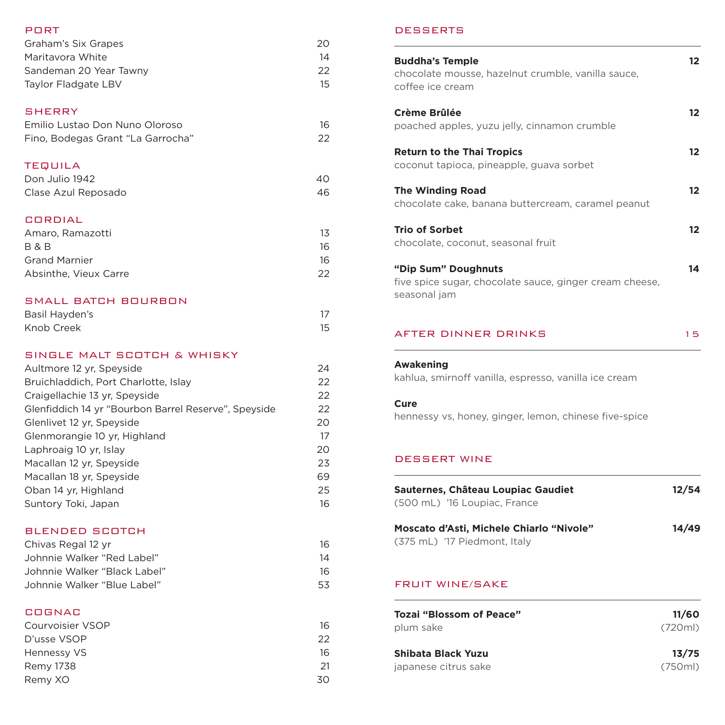# PORT Graham's Six Grapes 20 Maritavora White 14 Sandeman 20 Year Tawny 22 Taylor Fladgate LBV 15 **SHERRY** Emilio Lustao Don Nuno Oloroso 16 Fino, Bodegas Grant "La Garrocha" 22 TEQUILA Don Julio 1942 **40** Clase Azul Reposado 46 CORDIAL Amaro, Ramazotti 13 **B & B** 16 Grand Marnier 16 Absinthe, Vieux Carre 22 SMALL BATCH BOURBON Basil Hayden's 17 Knob Creek 15 SINGLE MALT SCOTCH & WHISKY Aultmore 12 yr, Speyside 24 Bruichladdich, Port Charlotte, Islay 22 Craigellachie 13 yr, Speyside 22 Glenfiddich 14 yr "Bourbon Barrel Reserve", Speyside 22

| Glenlivet 12 yr. Speyside    | 20 |
|------------------------------|----|
| Glenmorangie 10 yr, Highland | 17 |
| Laphroaig 10 yr, Islay       | 20 |
| Macallan 12 yr, Speyside     | 23 |
| Macallan 18 yr, Speyside     | 69 |
| Oban 14 yr, Highland         | 25 |
| Suntory Toki, Japan          | 16 |
|                              |    |

#### BLENDED SCOTCH

| Chivas Regal 12 yr           | 16  |
|------------------------------|-----|
| Johnnie Walker "Red Label"   | 14  |
| Johnnie Walker "Black Label" | 16  |
| Johnnie Walker "Blue Label"  | 53. |

### COGNAC

| Courvoisier VSOP | 16  |
|------------------|-----|
| D'usse VSOP      | 22. |
| Hennessy VS      | 16  |
| <b>Remy 1738</b> | 21  |
| Remy XO          | 30. |

## **DESSERTS**

| <b>Buddha's Temple</b><br>chocolate mousse, hazelnut crumble, vanilla sauce,<br>coffee ice cream | 12 |
|--------------------------------------------------------------------------------------------------|----|
| Crème Brûlée<br>poached apples, yuzu jelly, cinnamon crumble                                     | 12 |
| <b>Return to the Thai Tropics</b><br>coconut tapioca, pineapple, guava sorbet                    | 12 |
| <b>The Winding Road</b><br>chocolate cake, banana buttercream, caramel peanut                    | 12 |
| <b>Trio of Sorbet</b><br>chocolate, coconut, seasonal fruit                                      | 12 |
| "Dip Sum" Doughnuts<br>five spice sugar, chocolate sauce, ginger cream cheese,<br>seasonal jam   | 14 |

#### AFTER DINNER DRINKS 15

## **Awakening**

kahlua, smirnoff vanilla, espresso, vanilla ice cream

### **Cure**

hennessy vs, honey, ginger, lemon, chinese five-spice

## DESSERT WINE

| Sauternes, Château Loupiac Gaudiet<br>(500 mL) '16 Loupiac, France       | 12/54 |
|--------------------------------------------------------------------------|-------|
| Moscato d'Asti, Michele Chiarlo "Nivole"<br>(375 mL) '17 Piedmont, Italy | 14/49 |
| FRUIT WINE/SAKE                                                          |       |

| Tozai "Blossom of Peace" | 11/60   |
|--------------------------|---------|
| plum sake                | (720m)  |
| Shibata Black Yuzu       | 13/75   |
| japanese citrus sake     | (750ml) |